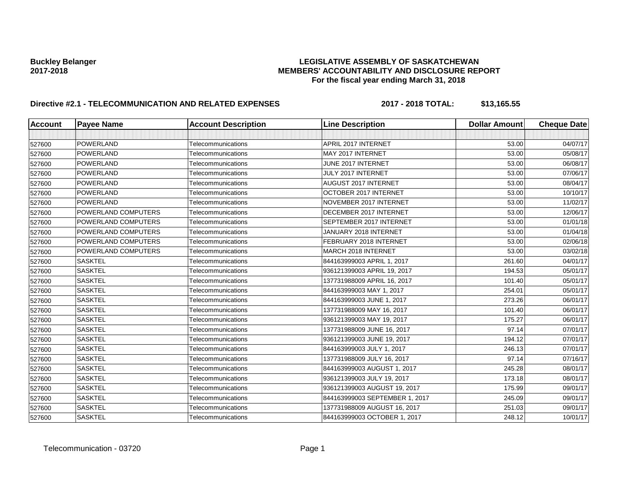# **Buckley Belanger LEGISLATIVE ASSEMBLY OF SASKATCHEWAN 2017-2018 MEMBERS' ACCOUNTABILITY AND DISCLOSURE REPORT For the fiscal year ending March 31, 2018**

# **Directive #2.1 - TELECOMMUNICATION AND RELATED EXPENSES 2017 - 2018 TOTAL: \$13,165.55**

| Account | <b>Payee Name</b>   | <b>Account Description</b> | <b>Line Description</b>        | <b>Dollar Amount</b> | <b>Cheque Date</b> |
|---------|---------------------|----------------------------|--------------------------------|----------------------|--------------------|
|         |                     |                            |                                |                      |                    |
| 527600  | POWERLAND           | Telecommunications         | APRIL 2017 INTERNET            | 53.00                | 04/07/17           |
| 527600  | <b>POWERLAND</b>    | Telecommunications         | MAY 2017 INTERNET              | 53.00                | 05/08/17           |
| 527600  | <b>POWERLAND</b>    | Telecommunications         | JUNE 2017 INTERNET             | 53.00                | 06/08/17           |
| 527600  | <b>POWERLAND</b>    | Telecommunications         | JULY 2017 INTERNET             | 53.00                | 07/06/17           |
| 527600  | POWERLAND           | Telecommunications         | <b>AUGUST 2017 INTERNET</b>    | 53.00                | 08/04/17           |
| 527600  | POWERLAND           | Telecommunications         | OCTOBER 2017 INTERNET          | 53.00                | 10/10/17           |
| 527600  | <b>POWERLAND</b>    | Telecommunications         | NOVEMBER 2017 INTERNET         | 53.00                | 11/02/17           |
| 527600  | POWERLAND COMPUTERS | Telecommunications         | DECEMBER 2017 INTERNET         | 53.00                | 12/06/17           |
| 527600  | POWERLAND COMPUTERS | Telecommunications         | SEPTEMBER 2017 INTERNET        | 53.00                | 01/01/18           |
| 527600  | POWERLAND COMPUTERS | Telecommunications         | JANUARY 2018 INTERNET          | 53.00                | 01/04/18           |
| 527600  | POWERLAND COMPUTERS | Telecommunications         | FEBRUARY 2018 INTERNET         | 53.00                | 02/06/18           |
| 527600  | POWERLAND COMPUTERS | Telecommunications         | MARCH 2018 INTERNET            | 53.00                | 03/02/18           |
| 527600  | <b>SASKTEL</b>      | Telecommunications         | 844163999003 APRIL 1, 2017     | 261.60               | 04/01/17           |
| 527600  | <b>SASKTEL</b>      | Telecommunications         | 936121399003 APRIL 19, 2017    | 194.53               | 05/01/17           |
| 527600  | <b>SASKTEL</b>      | Telecommunications         | 137731988009 APRIL 16, 2017    | 101.40               | 05/01/17           |
| 527600  | <b>SASKTEL</b>      | Telecommunications         | 844163999003 MAY 1, 2017       | 254.01               | 05/01/17           |
| 527600  | <b>SASKTEL</b>      | Telecommunications         | 844163999003 JUNE 1, 2017      | 273.26               | 06/01/17           |
| 527600  | <b>SASKTEL</b>      | Telecommunications         | 137731988009 MAY 16, 2017      | 101.40               | 06/01/17           |
| 527600  | <b>SASKTEL</b>      | Telecommunications         | 936121399003 MAY 19, 2017      | 175.27               | 06/01/17           |
| 527600  | <b>SASKTEL</b>      | Telecommunications         | 137731988009 JUNE 16, 2017     | 97.14                | 07/01/17           |
| 527600  | <b>SASKTEL</b>      | Telecommunications         | 936121399003 JUNE 19, 2017     | 194.12               | 07/01/17           |
| 527600  | <b>SASKTEL</b>      | Telecommunications         | 844163999003 JULY 1, 2017      | 246.13               | 07/01/17           |
| 527600  | <b>SASKTEL</b>      | Telecommunications         | 137731988009 JULY 16, 2017     | 97.14                | 07/16/17           |
| 527600  | <b>SASKTEL</b>      | Telecommunications         | 844163999003 AUGUST 1, 2017    | 245.28               | 08/01/17           |
| 527600  | <b>SASKTEL</b>      | Telecommunications         | 936121399003 JULY 19, 2017     | 173.18               | 08/01/17           |
| 527600  | <b>SASKTEL</b>      | Telecommunications         | 936121399003 AUGUST 19, 2017   | 175.99               | 09/01/17           |
| 527600  | <b>SASKTEL</b>      | Telecommunications         | 844163999003 SEPTEMBER 1, 2017 | 245.09               | 09/01/17           |
| 527600  | <b>SASKTEL</b>      | Telecommunications         | 137731988009 AUGUST 16, 2017   | 251.03               | 09/01/17           |
| 527600  | <b>SASKTEL</b>      | Telecommunications         | 844163999003 OCTOBER 1, 2017   | 248.12               | 10/01/17           |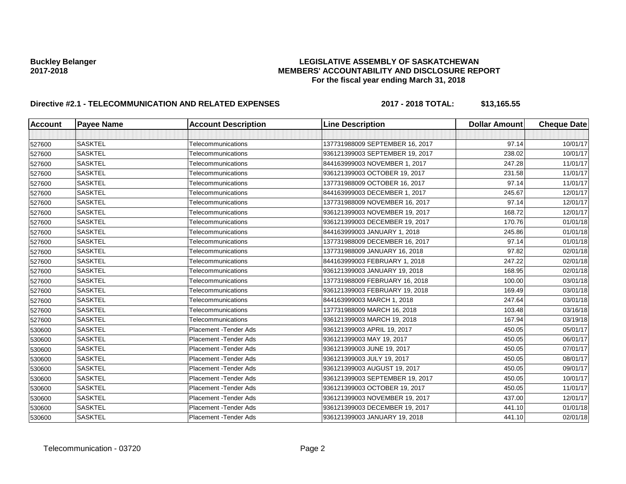# **Buckley Belanger LEGISLATIVE ASSEMBLY OF SASKATCHEWAN 2017-2018 MEMBERS' ACCOUNTABILITY AND DISCLOSURE REPORT For the fiscal year ending March 31, 2018**

# **Directive #2.1 - TELECOMMUNICATION AND RELATED EXPENSES 2017 - 2018 TOTAL: \$13,165.55**

| <b>Account</b> | <b>Payee Name</b> | <b>Account Description</b> | <b>Line Description</b>         | <b>Dollar Amount</b> | <b>Cheque Date</b> |
|----------------|-------------------|----------------------------|---------------------------------|----------------------|--------------------|
|                |                   |                            |                                 |                      |                    |
| 527600         | <b>SASKTEL</b>    | Telecommunications         | 137731988009 SEPTEMBER 16, 2017 | 97.14                | 10/01/17           |
| 527600         | <b>SASKTEL</b>    | Telecommunications         | 936121399003 SEPTEMBER 19, 2017 | 238.02               | 10/01/17           |
| 527600         | <b>SASKTEL</b>    | Telecommunications         | 844163999003 NOVEMBER 1, 2017   | 247.28               | 11/01/17           |
| 527600         | <b>SASKTEL</b>    | Telecommunications         | 936121399003 OCTOBER 19, 2017   | 231.58               | 11/01/17           |
| 527600         | <b>SASKTEL</b>    | Telecommunications         | 137731988009 OCTOBER 16, 2017   | 97.14                | 11/01/17           |
| 527600         | <b>SASKTEL</b>    | Telecommunications         | 844163999003 DECEMBER 1, 2017   | 245.67               | 12/01/17           |
| 527600         | <b>SASKTEL</b>    | Telecommunications         | 137731988009 NOVEMBER 16, 2017  | 97.14                | 12/01/17           |
| 527600         | <b>SASKTEL</b>    | Telecommunications         | 936121399003 NOVEMBER 19, 2017  | 168.72               | 12/01/17           |
| 527600         | <b>SASKTEL</b>    | Telecommunications         | 936121399003 DECEMBER 19, 2017  | 170.76               | 01/01/18           |
| 527600         | <b>SASKTEL</b>    | Telecommunications         | 844163999003 JANUARY 1, 2018    | 245.86               | 01/01/18           |
| 527600         | <b>SASKTEL</b>    | Telecommunications         | 137731988009 DECEMBER 16, 2017  | 97.14                | 01/01/18           |
| 527600         | <b>SASKTEL</b>    | Telecommunications         | 137731988009 JANUARY 16, 2018   | 97.82                | 02/01/18           |
| 527600         | <b>SASKTEL</b>    | Telecommunications         | 844163999003 FEBRUARY 1, 2018   | 247.22               | 02/01/18           |
| 527600         | <b>SASKTEL</b>    | Telecommunications         | 936121399003 JANUARY 19, 2018   | 168.95               | 02/01/18           |
| 527600         | <b>SASKTEL</b>    | Telecommunications         | 137731988009 FEBRUARY 16, 2018  | 100.00               | 03/01/18           |
| 527600         | <b>SASKTEL</b>    | Telecommunications         | 936121399003 FEBRUARY 19, 2018  | 169.49               | 03/01/18           |
| 527600         | <b>SASKTEL</b>    | Telecommunications         | 844163999003 MARCH 1, 2018      | 247.64               | 03/01/18           |
| 527600         | <b>SASKTEL</b>    | Telecommunications         | 137731988009 MARCH 16, 2018     | 103.48               | 03/16/18           |
| 527600         | <b>SASKTEL</b>    | Telecommunications         | 936121399003 MARCH 19, 2018     | 167.94               | 03/19/18           |
| 530600         | <b>SASKTEL</b>    | Placement - Tender Ads     | 936121399003 APRIL 19, 2017     | 450.05               | 05/01/17           |
| 530600         | <b>SASKTEL</b>    | Placement - Tender Ads     | 936121399003 MAY 19, 2017       | 450.05               | 06/01/17           |
| 530600         | <b>SASKTEL</b>    | Placement - Tender Ads     | 936121399003 JUNE 19, 2017      | 450.05               | 07/01/17           |
| 530600         | <b>SASKTEL</b>    | Placement - Tender Ads     | 936121399003 JULY 19, 2017      | 450.05               | 08/01/17           |
| 530600         | <b>SASKTEL</b>    | Placement - Tender Ads     | 936121399003 AUGUST 19, 2017    | 450.05               | 09/01/17           |
| 530600         | <b>SASKTEL</b>    | Placement - Tender Ads     | 936121399003 SEPTEMBER 19, 2017 | 450.05               | 10/01/17           |
| 530600         | <b>SASKTEL</b>    | Placement - Tender Ads     | 936121399003 OCTOBER 19, 2017   | 450.05               | 11/01/17           |
| 530600         | <b>SASKTEL</b>    | Placement - Tender Ads     | 936121399003 NOVEMBER 19, 2017  | 437.00               | 12/01/17           |
| 530600         | <b>SASKTEL</b>    | Placement - Tender Ads     | 936121399003 DECEMBER 19, 2017  | 441.10               | 01/01/18           |
| 530600         | <b>SASKTEL</b>    | Placement - Tender Ads     | 936121399003 JANUARY 19, 2018   | 441.10               | 02/01/18           |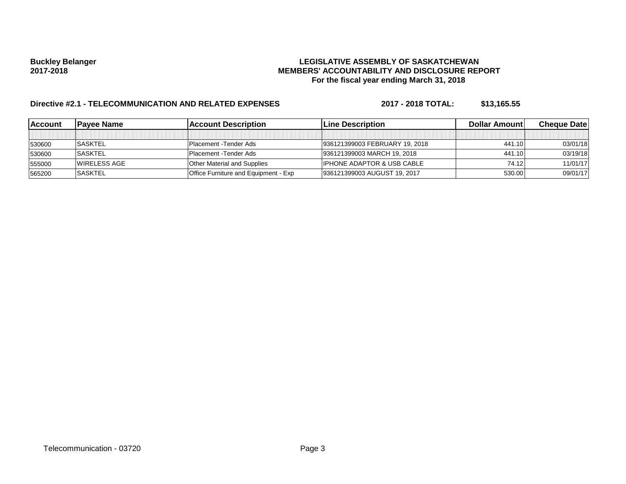# **Buckley Belanger LEGISLATIVE ASSEMBLY OF SASKATCHEWAN 2017-2018 MEMBERS' ACCOUNTABILITY AND DISCLOSURE REPORT For the fiscal year ending March 31, 2018**

# **Directive #2.1 - TELECOMMUNICATION AND RELATED EXPENSES 2017 - 2018 TOTAL: \$13,165.55**

| <b>IAccount</b> | <b>IPavee Name</b> | <b>Account Description</b>                  | <b>ILine Description</b>              | <b>Dollar Amountl</b> | <b>Cheque Datel</b> |
|-----------------|--------------------|---------------------------------------------|---------------------------------------|-----------------------|---------------------|
|                 |                    |                                             |                                       |                       |                     |
| 530600          | <b>SASKTEL</b>     | <b>Placement - Tender Ads</b>               | 936121399003 FEBRUARY 19, 2018        | 441.10                | 03/01/18            |
| 530600          | <b>SASKTEL</b>     | <b>IPlacement - Tender Ads</b>              | 936121399003 MARCH 19, 2018           | 441.10                | 03/19/18            |
| 555000          | IWIRELESS AGE      | <b>Other Material and Supplies</b>          | <b>IPHONE ADAPTOR &amp; USB CABLE</b> | 74.12                 | 11/01/17            |
| 565200          | <b>SASKTEL</b>     | <b>Office Furniture and Equipment - Exp</b> | 936121399003 AUGUST 19, 2017          | 530.00                | 09/01/17            |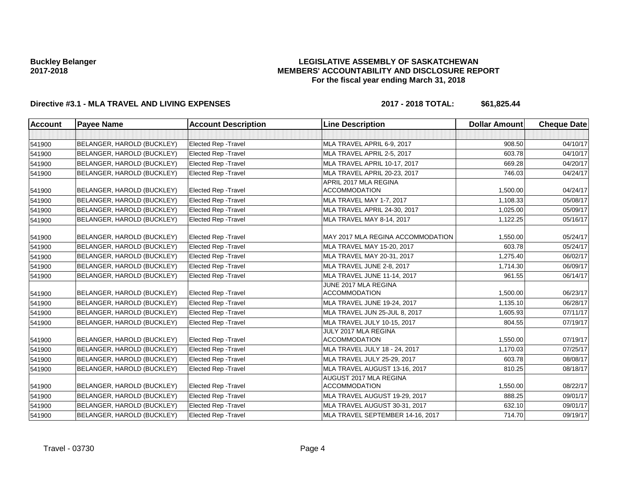### **LEGISLATIVE ASSEMBLY OF SASKATCHEWAN MEMBERS' ACCOUNTABILITY AND DISCLOSURE REPORT For the fiscal year ending March 31, 2018**

# **Directive #3.1 - MLA TRAVEL AND LIVING EXPENSES 2017 - 2018 TOTAL: \$61,825.44**

| <b>Account</b> | <b>Payee Name</b>          | <b>Account Description</b>  | <b>Line Description</b>                        | <b>Dollar Amount</b> | <b>Cheque Date</b> |
|----------------|----------------------------|-----------------------------|------------------------------------------------|----------------------|--------------------|
|                |                            |                             |                                                |                      |                    |
| 541900         | BELANGER, HAROLD (BUCKLEY) | <b>Elected Rep - Travel</b> | MLA TRAVEL APRIL 6-9, 2017                     | 908.50               | 04/10/17           |
| 541900         | BELANGER, HAROLD (BUCKLEY) | <b>Elected Rep - Travel</b> | MLA TRAVEL APRIL 2-5, 2017                     | 603.78               | 04/10/17           |
| 541900         | BELANGER, HAROLD (BUCKLEY) | Elected Rep - Travel        | MLA TRAVEL APRIL 10-17, 2017                   | 669.28               | 04/20/17           |
| 541900         | BELANGER, HAROLD (BUCKLEY) | <b>Elected Rep - Travel</b> | MLA TRAVEL APRIL 20-23, 2017                   | 746.03               | 04/24/17           |
| 541900         | BELANGER, HAROLD (BUCKLEY) | <b>Elected Rep - Travel</b> | APRIL 2017 MLA REGINA<br><b>ACCOMMODATION</b>  | 1,500.00             | 04/24/17           |
| 541900         | BELANGER, HAROLD (BUCKLEY) | <b>Elected Rep - Travel</b> | MLA TRAVEL MAY 1-7, 2017                       | 1,108.33             | 05/08/17           |
| 541900         | BELANGER, HAROLD (BUCKLEY) | <b>Elected Rep - Travel</b> | MLA TRAVEL APRIL 24-30, 2017                   | 1,025.00             | 05/09/17           |
| 541900         | BELANGER, HAROLD (BUCKLEY) | <b>Elected Rep - Travel</b> | MLA TRAVEL MAY 8-14, 2017                      | 1,122.25             | 05/16/17           |
| 541900         | BELANGER, HAROLD (BUCKLEY) | <b>Elected Rep - Travel</b> | MAY 2017 MLA REGINA ACCOMMODATION              | 1,550.00             | 05/24/17           |
| 541900         | BELANGER, HAROLD (BUCKLEY) | <b>Elected Rep - Travel</b> | MLA TRAVEL MAY 15-20, 2017                     | 603.78               | 05/24/17           |
| 541900         | BELANGER, HAROLD (BUCKLEY) | <b>Elected Rep - Travel</b> | MLA TRAVEL MAY 20-31, 2017                     | 1,275.40             | 06/02/17           |
| 541900         | BELANGER, HAROLD (BUCKLEY) | <b>Elected Rep - Travel</b> | MLA TRAVEL JUNE 2-8, 2017                      | 1,714.30             | 06/09/17           |
| 541900         | BELANGER, HAROLD (BUCKLEY) | <b>Elected Rep - Travel</b> | MLA TRAVEL JUNE 11-14, 2017                    | 961.55               | 06/14/17           |
| 541900         | BELANGER, HAROLD (BUCKLEY) | <b>Elected Rep - Travel</b> | JUNE 2017 MLA REGINA<br><b>ACCOMMODATION</b>   | 1,500.00             | 06/23/17           |
| 541900         | BELANGER, HAROLD (BUCKLEY) | <b>Elected Rep - Travel</b> | MLA TRAVEL JUNE 19-24, 2017                    | 1,135.10             | 06/28/17           |
| 541900         | BELANGER, HAROLD (BUCKLEY) | <b>Elected Rep - Travel</b> | MLA TRAVEL JUN 25-JUL 8, 2017                  | 1,605.93             | 07/11/17           |
| 541900         | BELANGER, HAROLD (BUCKLEY) | <b>Elected Rep - Travel</b> | MLA TRAVEL JULY 10-15, 2017                    | 804.55               | 07/19/17           |
| 541900         | BELANGER, HAROLD (BUCKLEY) | <b>Elected Rep - Travel</b> | JULY 2017 MLA REGINA<br><b>ACCOMMODATION</b>   | 1,550.00             | 07/19/17           |
| 541900         | BELANGER, HAROLD (BUCKLEY) | <b>Elected Rep - Travel</b> | MLA TRAVEL JULY 18 - 24, 2017                  | 1,170.03             | 07/25/17           |
| 541900         | BELANGER, HAROLD (BUCKLEY) | <b>Elected Rep - Travel</b> | MLA TRAVEL JULY 25-29, 2017                    | 603.78               | 08/08/17           |
| 541900         | BELANGER, HAROLD (BUCKLEY) | <b>Elected Rep - Travel</b> | MLA TRAVEL AUGUST 13-16, 2017                  | 810.25               | 08/18/17           |
| 541900         | BELANGER, HAROLD (BUCKLEY) | <b>Elected Rep - Travel</b> | AUGUST 2017 MLA REGINA<br><b>ACCOMMODATION</b> | 1,550.00             | 08/22/17           |
| 541900         | BELANGER, HAROLD (BUCKLEY) | <b>Elected Rep - Travel</b> | MLA TRAVEL AUGUST 19-29, 2017                  | 888.25               | 09/01/17           |
| 541900         | BELANGER, HAROLD (BUCKLEY) | <b>Elected Rep - Travel</b> | MLA TRAVEL AUGUST 30-31, 2017                  | 632.10               | 09/01/17           |
| 541900         | BELANGER, HAROLD (BUCKLEY) | <b>Elected Rep - Travel</b> | MLA TRAVEL SEPTEMBER 14-16, 2017               | 714.70               | 09/19/17           |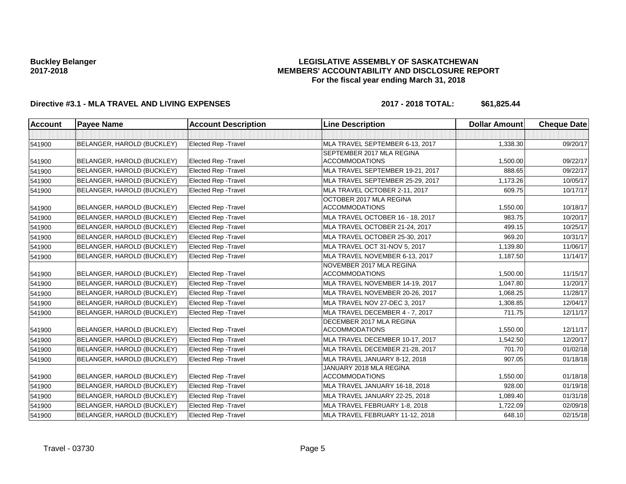### **LEGISLATIVE ASSEMBLY OF SASKATCHEWAN MEMBERS' ACCOUNTABILITY AND DISCLOSURE REPORT For the fiscal year ending March 31, 2018**

# **Directive #3.1 - MLA TRAVEL AND LIVING EXPENSES 2017 - 2018 TOTAL: \$61,825.44**

| <b>Account</b> | <b>Payee Name</b>          | <b>Account Description</b>  | <b>Line Description</b>                           | <b>Dollar Amount</b> | <b>Cheque Date</b> |
|----------------|----------------------------|-----------------------------|---------------------------------------------------|----------------------|--------------------|
|                |                            |                             |                                                   |                      |                    |
| 541900         | BELANGER, HAROLD (BUCKLEY) | <b>Elected Rep - Travel</b> | MLA TRAVEL SEPTEMBER 6-13, 2017                   | 1,338.30             | 09/20/17           |
|                |                            |                             | SEPTEMBER 2017 MLA REGINA                         |                      |                    |
| 541900         | BELANGER, HAROLD (BUCKLEY) | <b>Elected Rep - Travel</b> | <b>ACCOMMODATIONS</b>                             | 1,500.00             | 09/22/17           |
| 541900         | BELANGER, HAROLD (BUCKLEY) | <b>Elected Rep - Travel</b> | MLA TRAVEL SEPTEMBER 19-21, 2017                  | 888.65               | 09/22/17           |
| 541900         | BELANGER, HAROLD (BUCKLEY) | <b>Elected Rep - Travel</b> | MLA TRAVEL SEPTEMBER 25-29, 2017                  | 1,173.26             | 10/05/17           |
| 541900         | BELANGER, HAROLD (BUCKLEY) | <b>Elected Rep - Travel</b> | MLA TRAVEL OCTOBER 2-11, 2017                     | 609.75               | 10/17/17           |
| 541900         | BELANGER, HAROLD (BUCKLEY) | <b>Elected Rep - Travel</b> | OCTOBER 2017 MLA REGINA<br><b>ACCOMMODATIONS</b>  | 1,550.00             | 10/18/17           |
| 541900         | BELANGER, HAROLD (BUCKLEY) | <b>Elected Rep - Travel</b> | MLA TRAVEL OCTOBER 16 - 18, 2017                  | 983.75               | 10/20/17           |
| 541900         | BELANGER, HAROLD (BUCKLEY) | <b>Elected Rep - Travel</b> | MLA TRAVEL OCTOBER 21-24, 2017                    | 499.15               | 10/25/17           |
| 541900         | BELANGER, HAROLD (BUCKLEY) | <b>Elected Rep - Travel</b> | MLA TRAVEL OCTOBER 25-30, 2017                    | 969.20               | 10/31/17           |
| 541900         | BELANGER, HAROLD (BUCKLEY) | <b>Elected Rep - Travel</b> | MLA TRAVEL OCT 31-NOV 5, 2017                     | 1,139.80             | 11/06/17           |
| 541900         | BELANGER, HAROLD (BUCKLEY) | <b>Elected Rep - Travel</b> | MLA TRAVEL NOVEMBER 6-13, 2017                    | 1,187.50             | 11/14/17           |
|                |                            |                             | NOVEMBER 2017 MLA REGINA                          |                      |                    |
| 541900         | BELANGER, HAROLD (BUCKLEY) | <b>Elected Rep - Travel</b> | <b>ACCOMMODATIONS</b>                             | 1,500.00             | 11/15/17           |
| 541900         | BELANGER, HAROLD (BUCKLEY) | <b>Elected Rep - Travel</b> | MLA TRAVEL NOVEMBER 14-19, 2017                   | 1,047.80             | 11/20/17           |
| 541900         | BELANGER, HAROLD (BUCKLEY) | <b>Elected Rep - Travel</b> | MLA TRAVEL NOVEMBER 20-26, 2017                   | 1,068.25             | 11/28/17           |
| 541900         | BELANGER, HAROLD (BUCKLEY) | <b>Elected Rep - Travel</b> | MLA TRAVEL NOV 27-DEC 3, 2017                     | 1,308.85             | 12/04/17           |
| 541900         | BELANGER, HAROLD (BUCKLEY) | Elected Rep - Travel        | MLA TRAVEL DECEMBER 4 - 7, 2017                   | 711.75               | 12/11/17           |
| 541900         | BELANGER, HAROLD (BUCKLEY) | <b>Elected Rep - Travel</b> | DECEMBER 2017 MLA REGINA<br><b>ACCOMMODATIONS</b> | 1,550.00             | 12/11/17           |
| 541900         | BELANGER, HAROLD (BUCKLEY) | <b>Elected Rep - Travel</b> | MLA TRAVEL DECEMBER 10-17, 2017                   | 1,542.50             | 12/20/17           |
| 541900         | BELANGER, HAROLD (BUCKLEY) | <b>Elected Rep - Travel</b> | MLA TRAVEL DECEMBER 21-28, 2017                   | 701.70               | 01/02/18           |
| 541900         | BELANGER, HAROLD (BUCKLEY) | <b>Elected Rep - Travel</b> | MLA TRAVEL JANUARY 8-12, 2018                     | 907.05               | 01/18/18           |
| 541900         | BELANGER, HAROLD (BUCKLEY) | <b>Elected Rep - Travel</b> | JANUARY 2018 MLA REGINA<br><b>ACCOMMODATIONS</b>  | 1,550.00             | 01/18/18           |
| 541900         | BELANGER, HAROLD (BUCKLEY) | <b>Elected Rep - Travel</b> | MLA TRAVEL JANUARY 16-18, 2018                    | 928.00               | 01/19/18           |
| 541900         | BELANGER, HAROLD (BUCKLEY) | <b>Elected Rep - Travel</b> | MLA TRAVEL JANUARY 22-25, 2018                    | 1,089.40             | 01/31/18           |
| 541900         | BELANGER, HAROLD (BUCKLEY) | <b>Elected Rep - Travel</b> | MLA TRAVEL FEBRUARY 1-8, 2018                     | 1,722.09             | 02/09/18           |
| 541900         | BELANGER, HAROLD (BUCKLEY) | Elected Rep - Travel        | MLA TRAVEL FEBRUARY 11-12, 2018                   | 648.10               | 02/15/18           |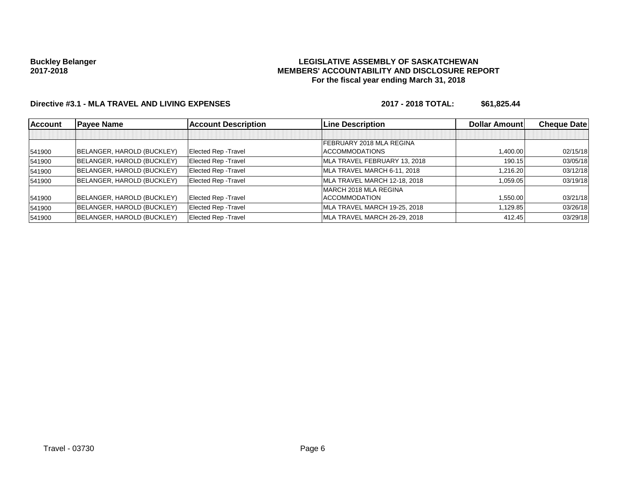### **LEGISLATIVE ASSEMBLY OF SASKATCHEWAN MEMBERS' ACCOUNTABILITY AND DISCLOSURE REPORT For the fiscal year ending March 31, 2018**

# **Directive #3.1 - MLA TRAVEL AND LIVING EXPENSES 2017 - 2018 TOTAL: \$61,825.44**

| <b>Account</b> | <b>Payee Name</b>          | <b>Account Description</b>  | <b>Line Description</b>      | <b>Dollar Amountl</b> | <b>Cheque Datel</b> |
|----------------|----------------------------|-----------------------------|------------------------------|-----------------------|---------------------|
|                |                            |                             |                              |                       |                     |
|                |                            |                             | FEBRUARY 2018 MLA REGINA     |                       |                     |
| 541900         | BELANGER, HAROLD (BUCKLEY) | Elected Rep - Travel        | <b>ACCOMMODATIONS</b>        | 1,400.00              | 02/15/18            |
| 541900         | BELANGER, HAROLD (BUCKLEY) | Elected Rep - Travel        | MLA TRAVEL FEBRUARY 13, 2018 | 190.15                | 03/05/18            |
| 541900         | BELANGER, HAROLD (BUCKLEY) | Elected Rep - Travel        | MLA TRAVEL MARCH 6-11, 2018  | 1,216.20              | 03/12/18            |
| 541900         | BELANGER, HAROLD (BUCKLEY) | <b>Elected Rep - Travel</b> | MLA TRAVEL MARCH 12-18, 2018 | 1,059.05              | 03/19/18            |
|                |                            |                             | MARCH 2018 MLA REGINA        |                       |                     |
| 541900         | BELANGER, HAROLD (BUCKLEY) | Elected Rep - Travel        | <b>ACCOMMODATION</b>         | 1,550.00              | 03/21/18            |
| 541900         | BELANGER, HAROLD (BUCKLEY) | Elected Rep - Travel        | MLA TRAVEL MARCH 19-25, 2018 | 1,129.85              | 03/26/18            |
| 541900         | BELANGER, HAROLD (BUCKLEY) | <b>Elected Rep - Travel</b> | MLA TRAVEL MARCH 26-29, 2018 | 412.45                | 03/29/18            |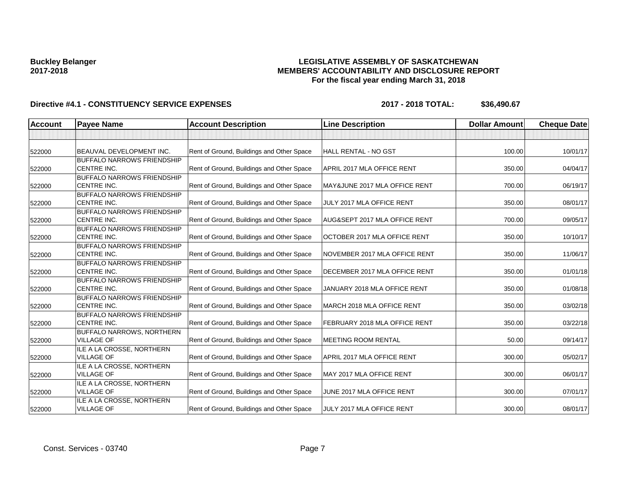### **LEGISLATIVE ASSEMBLY OF SASKATCHEWAN MEMBERS' ACCOUNTABILITY AND DISCLOSURE REPORT For the fiscal year ending March 31, 2018**

| <b>Account</b> | <b>Payee Name</b>                                       | <b>Account Description</b>                | <b>Line Description</b>       | <b>Dollar Amount</b> | <b>Cheque Date</b> |
|----------------|---------------------------------------------------------|-------------------------------------------|-------------------------------|----------------------|--------------------|
|                |                                                         |                                           |                               |                      |                    |
| 522000         | BEAUVAL DEVELOPMENT INC.                                | Rent of Ground, Buildings and Other Space | HALL RENTAL - NO GST          | 100.00               | 10/01/17           |
|                | <b>BUFFALO NARROWS FRIENDSHIP</b>                       |                                           |                               |                      |                    |
| 522000         | <b>CENTRE INC.</b>                                      | Rent of Ground, Buildings and Other Space | APRIL 2017 MLA OFFICE RENT    | 350.00               | 04/04/17           |
|                | <b>BUFFALO NARROWS FRIENDSHIP</b>                       |                                           |                               |                      |                    |
| 522000         | <b>CENTRE INC.</b>                                      | Rent of Ground, Buildings and Other Space | MAY&JUNE 2017 MLA OFFICE RENT | 700.00               | 06/19/17           |
|                | <b>BUFFALO NARROWS FRIENDSHIP</b>                       |                                           |                               |                      |                    |
| 522000         | <b>CENTRE INC.</b>                                      | Rent of Ground, Buildings and Other Space | JULY 2017 MLA OFFICE RENT     | 350.00               | 08/01/17           |
| 522000         | <b>BUFFALO NARROWS FRIENDSHIP</b><br><b>CENTRE INC.</b> | Rent of Ground, Buildings and Other Space | AUG&SEPT 2017 MLA OFFICE RENT | 700.00               | 09/05/17           |
|                | <b>BUFFALO NARROWS FRIENDSHIP</b>                       |                                           |                               |                      |                    |
| 522000         | CENTRE INC.                                             | Rent of Ground, Buildings and Other Space | OCTOBER 2017 MLA OFFICE RENT  | 350.00               | 10/10/17           |
|                | <b>BUFFALO NARROWS FRIENDSHIP</b>                       |                                           |                               |                      |                    |
| 522000         | CENTRE INC.                                             | Rent of Ground, Buildings and Other Space | NOVEMBER 2017 MLA OFFICE RENT | 350.00               | 11/06/17           |
|                | <b>BUFFALO NARROWS FRIENDSHIP</b>                       |                                           |                               |                      |                    |
| 522000         | CENTRE INC.                                             | Rent of Ground, Buildings and Other Space | DECEMBER 2017 MLA OFFICE RENT | 350.00               | 01/01/18           |
|                | <b>BUFFALO NARROWS FRIENDSHIP</b>                       |                                           |                               |                      |                    |
| 522000         | <b>CENTRE INC.</b>                                      | Rent of Ground, Buildings and Other Space | JANUARY 2018 MLA OFFICE RENT  | 350.00               | 01/08/18           |
|                | <b>BUFFALO NARROWS FRIENDSHIP</b>                       |                                           |                               |                      |                    |
| 522000         | <b>CENTRE INC.</b>                                      | Rent of Ground, Buildings and Other Space | MARCH 2018 MLA OFFICE RENT    | 350.00               | 03/02/18           |
|                | <b>BUFFALO NARROWS FRIENDSHIP</b>                       |                                           |                               |                      |                    |
| 522000         | CENTRE INC.                                             | Rent of Ground, Buildings and Other Space | FEBRUARY 2018 MLA OFFICE RENT | 350.00               | 03/22/18           |
|                | <b>BUFFALO NARROWS, NORTHERN</b>                        |                                           |                               |                      |                    |
| 522000         | <b>VILLAGE OF</b>                                       | Rent of Ground, Buildings and Other Space | <b>IMEETING ROOM RENTAL</b>   | 50.00                | 09/14/17           |
|                | ILE A LA CROSSE, NORTHERN                               |                                           |                               |                      |                    |
| 522000         | <b>VILLAGE OF</b>                                       | Rent of Ground, Buildings and Other Space | APRIL 2017 MLA OFFICE RENT    | 300.00               | 05/02/17           |
|                | ILE A LA CROSSE, NORTHERN                               |                                           |                               |                      |                    |
| 522000         | <b>VILLAGE OF</b>                                       | Rent of Ground, Buildings and Other Space | MAY 2017 MLA OFFICE RENT      | 300.00               | 06/01/17           |
|                | ILE A LA CROSSE, NORTHERN                               |                                           |                               |                      |                    |
| 522000         | <b>VILLAGE OF</b>                                       | Rent of Ground, Buildings and Other Space | JUNE 2017 MLA OFFICE RENT     | 300.00               | 07/01/17           |
| 522000         | ILE A LA CROSSE, NORTHERN<br><b>VILLAGE OF</b>          | Rent of Ground, Buildings and Other Space | JULY 2017 MLA OFFICE RENT     | 300.00               | 08/01/17           |
|                |                                                         |                                           |                               |                      |                    |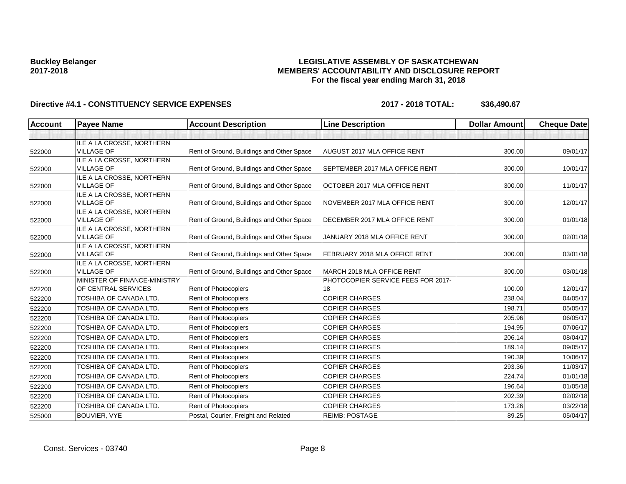### **LEGISLATIVE ASSEMBLY OF SASKATCHEWAN MEMBERS' ACCOUNTABILITY AND DISCLOSURE REPORT For the fiscal year ending March 31, 2018**

| <b>Account</b> | <b>Payee Name</b>                              | <b>Account Description</b>                | <b>Line Description</b>            | <b>Dollar Amount</b> | <b>Cheque Date</b> |
|----------------|------------------------------------------------|-------------------------------------------|------------------------------------|----------------------|--------------------|
|                |                                                |                                           |                                    |                      |                    |
| 522000         | ILE A LA CROSSE, NORTHERN<br><b>VILLAGE OF</b> | Rent of Ground, Buildings and Other Space | <b>AUGUST 2017 MLA OFFICE RENT</b> | 300.00               | 09/01/17           |
|                | ILE A LA CROSSE, NORTHERN                      |                                           |                                    |                      |                    |
| 522000         | <b>VILLAGE OF</b>                              | Rent of Ground, Buildings and Other Space | SEPTEMBER 2017 MLA OFFICE RENT     | 300.00               | 10/01/17           |
|                | ILE A LA CROSSE, NORTHERN                      |                                           |                                    |                      |                    |
| 522000         | <b>VILLAGE OF</b>                              | Rent of Ground, Buildings and Other Space | OCTOBER 2017 MLA OFFICE RENT       | 300.00               | 11/01/17           |
|                | ILE A LA CROSSE, NORTHERN                      |                                           |                                    |                      |                    |
| 522000         | <b>VILLAGE OF</b>                              | Rent of Ground, Buildings and Other Space | NOVEMBER 2017 MLA OFFICE RENT      | 300.00               | 12/01/17           |
|                | ILE A LA CROSSE, NORTHERN<br><b>VILLAGE OF</b> | Rent of Ground, Buildings and Other Space | DECEMBER 2017 MLA OFFICE RENT      | 300.00               | 01/01/18           |
| 522000         | ILE A LA CROSSE, NORTHERN                      |                                           |                                    |                      |                    |
| 522000         | <b>VILLAGE OF</b>                              | Rent of Ground, Buildings and Other Space | JANUARY 2018 MLA OFFICE RENT       | 300.00               | 02/01/18           |
|                | ILE A LA CROSSE, NORTHERN                      |                                           |                                    |                      |                    |
| 522000         | <b>VILLAGE OF</b>                              | Rent of Ground, Buildings and Other Space | FEBRUARY 2018 MLA OFFICE RENT      | 300.00               | 03/01/18           |
|                | ILE A LA CROSSE, NORTHERN                      |                                           |                                    |                      |                    |
| 522000         | <b>VILLAGE OF</b>                              | Rent of Ground, Buildings and Other Space | MARCH 2018 MLA OFFICE RENT         | 300.00               | 03/01/18           |
|                | MINISTER OF FINANCE-MINISTRY                   |                                           | PHOTOCOPIER SERVICE FEES FOR 2017- |                      |                    |
| 522200         | OF CENTRAL SERVICES                            | Rent of Photocopiers                      | 18                                 | 100.00               | 12/01/17           |
| 522200         | TOSHIBA OF CANADA LTD.                         | Rent of Photocopiers                      | <b>COPIER CHARGES</b>              | 238.04               | 04/05/17           |
| 522200         | TOSHIBA OF CANADA LTD.                         | Rent of Photocopiers                      | <b>COPIER CHARGES</b>              | 198.71               | 05/05/17           |
| 522200         | TOSHIBA OF CANADA LTD.                         | <b>Rent of Photocopiers</b>               | <b>COPIER CHARGES</b>              | 205.96               | 06/05/17           |
| 522200         | TOSHIBA OF CANADA LTD.                         | <b>Rent of Photocopiers</b>               | <b>COPIER CHARGES</b>              | 194.95               | 07/06/17           |
| 522200         | TOSHIBA OF CANADA LTD.                         | Rent of Photocopiers                      | <b>COPIER CHARGES</b>              | 206.14               | 08/04/17           |
| 522200         | TOSHIBA OF CANADA LTD.                         | <b>Rent of Photocopiers</b>               | <b>COPIER CHARGES</b>              | 189.14               | 09/05/17           |
| 522200         | TOSHIBA OF CANADA LTD.                         | Rent of Photocopiers                      | <b>COPIER CHARGES</b>              | 190.39               | 10/06/17           |
| 522200         | TOSHIBA OF CANADA LTD.                         | Rent of Photocopiers                      | <b>COPIER CHARGES</b>              | 293.36               | 11/03/17           |
| 522200         | TOSHIBA OF CANADA LTD.                         | Rent of Photocopiers                      | <b>COPIER CHARGES</b>              | 224.74               | 01/01/18           |
| 522200         | TOSHIBA OF CANADA LTD.                         | Rent of Photocopiers                      | <b>COPIER CHARGES</b>              | 196.64               | 01/05/18           |
| 522200         | TOSHIBA OF CANADA LTD.                         | Rent of Photocopiers                      | <b>COPIER CHARGES</b>              | 202.39               | 02/02/18           |
| 522200         | TOSHIBA OF CANADA LTD.                         | Rent of Photocopiers                      | <b>COPIER CHARGES</b>              | 173.26               | 03/22/18           |
| 525000         | <b>BOUVIER, VYE</b>                            | Postal, Courier, Freight and Related      | <b>REIMB: POSTAGE</b>              | 89.25                | 05/04/17           |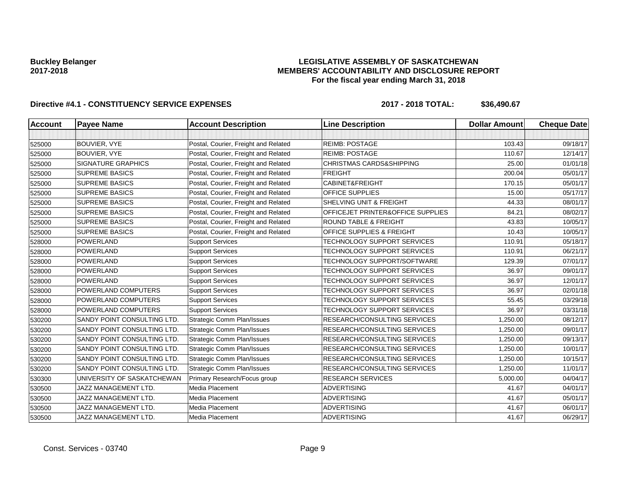### **LEGISLATIVE ASSEMBLY OF SASKATCHEWAN MEMBERS' ACCOUNTABILITY AND DISCLOSURE REPORT For the fiscal year ending March 31, 2018**

| <b>Account</b> | <b>Payee Name</b>           | <b>Account Description</b>           | <b>Line Description</b>              | <b>Dollar Amount</b> | <b>Cheque Date</b> |
|----------------|-----------------------------|--------------------------------------|--------------------------------------|----------------------|--------------------|
|                |                             |                                      |                                      |                      |                    |
| 525000         | <b>BOUVIER, VYE</b>         | Postal, Courier, Freight and Related | <b>REIMB: POSTAGE</b>                | 103.43               | 09/18/17           |
| 525000         | BOUVIER, VYE                | Postal, Courier, Freight and Related | <b>REIMB: POSTAGE</b>                | 110.67               | 12/14/17           |
| 525000         | <b>SIGNATURE GRAPHICS</b>   | Postal, Courier, Freight and Related | <b>CHRISTMAS CARDS&amp;SHIPPING</b>  | 25.00                | 01/01/18           |
| 525000         | <b>SUPREME BASICS</b>       | Postal, Courier, Freight and Related | <b>FREIGHT</b>                       | 200.04               | 05/01/17           |
| 525000         | <b>SUPREME BASICS</b>       | Postal, Courier, Freight and Related | CABINET&FREIGHT                      | 170.15               | 05/01/17           |
| 525000         | <b>SUPREME BASICS</b>       | Postal, Courier, Freight and Related | OFFICE SUPPLIES                      | 15.00                | 05/17/17           |
| 525000         | <b>SUPREME BASICS</b>       | Postal, Courier, Freight and Related | SHELVING UNIT & FREIGHT              | 44.33                | 08/01/17           |
| 525000         | <b>SUPREME BASICS</b>       | Postal, Courier, Freight and Related | OFFICEJET PRINTER&OFFICE SUPPLIES    | 84.21                | 08/02/17           |
| 525000         | <b>SUPREME BASICS</b>       | Postal, Courier, Freight and Related | <b>ROUND TABLE &amp; FREIGHT</b>     | 43.83                | 10/05/17           |
| 525000         | <b>SUPREME BASICS</b>       | Postal, Courier, Freight and Related | <b>OFFICE SUPPLIES &amp; FREIGHT</b> | 10.43                | 10/05/17           |
| 528000         | <b>POWERLAND</b>            | <b>Support Services</b>              | TECHNOLOGY SUPPORT SERVICES          | 110.91               | 05/18/17           |
| 528000         | <b>POWERLAND</b>            | <b>Support Services</b>              | TECHNOLOGY SUPPORT SERVICES          | 110.91               | 06/21/17           |
| 528000         | <b>POWERLAND</b>            | <b>Support Services</b>              | TECHNOLOGY SUPPORT/SOFTWARE          | 129.39               | 07/01/17           |
| 528000         | <b>POWERLAND</b>            | <b>Support Services</b>              | TECHNOLOGY SUPPORT SERVICES          | 36.97                | 09/01/17           |
| 528000         | <b>POWERLAND</b>            | <b>Support Services</b>              | TECHNOLOGY SUPPORT SERVICES          | 36.97                | 12/01/17           |
| 528000         | POWERLAND COMPUTERS         | <b>Support Services</b>              | TECHNOLOGY SUPPORT SERVICES          | 36.97                | 02/01/18           |
| 528000         | POWERLAND COMPUTERS         | <b>Support Services</b>              | TECHNOLOGY SUPPORT SERVICES          | 55.45                | 03/29/18           |
| 528000         | POWERLAND COMPUTERS         | <b>Support Services</b>              | TECHNOLOGY SUPPORT SERVICES          | 36.97                | 03/31/18           |
| 530200         | SANDY POINT CONSULTING LTD. | <b>Strategic Comm Plan/Issues</b>    | RESEARCH/CONSULTING SERVICES         | 1,250.00             | 08/12/17           |
| 530200         | SANDY POINT CONSULTING LTD. | <b>Strategic Comm Plan/Issues</b>    | RESEARCH/CONSULTING SERVICES         | 1.250.00             | 09/01/17           |
| 530200         | SANDY POINT CONSULTING LTD. | <b>Strategic Comm Plan/Issues</b>    | RESEARCH/CONSULTING SERVICES         | 1,250.00             | 09/13/17           |
| 530200         | SANDY POINT CONSULTING LTD. | <b>Strategic Comm Plan/Issues</b>    | RESEARCH/CONSULTING SERVICES         | 1,250.00             | 10/01/17           |
| 530200         | SANDY POINT CONSULTING LTD. | <b>Strategic Comm Plan/Issues</b>    | RESEARCH/CONSULTING SERVICES         | 1,250.00             | 10/15/17           |
| 530200         | SANDY POINT CONSULTING LTD. | <b>Strategic Comm Plan/Issues</b>    | RESEARCH/CONSULTING SERVICES         | 1,250.00             | 11/01/17           |
| 530300         | UNIVERSITY OF SASKATCHEWAN  | Primary Research/Focus group         | <b>RESEARCH SERVICES</b>             | 5,000.00             | 04/04/17           |
| 530500         | <b>JAZZ MANAGEMENT LTD.</b> | Media Placement                      | <b>ADVERTISING</b>                   | 41.67                | 04/01/17           |
| 530500         | <b>JAZZ MANAGEMENT LTD.</b> | Media Placement                      | <b>ADVERTISING</b>                   | 41.67                | 05/01/17           |
| 530500         | JAZZ MANAGEMENT LTD.        | Media Placement                      | <b>ADVERTISING</b>                   | 41.67                | 06/01/17           |
| 530500         | <b>JAZZ MANAGEMENT LTD.</b> | Media Placement                      | <b>ADVERTISING</b>                   | 41.67                | 06/29/17           |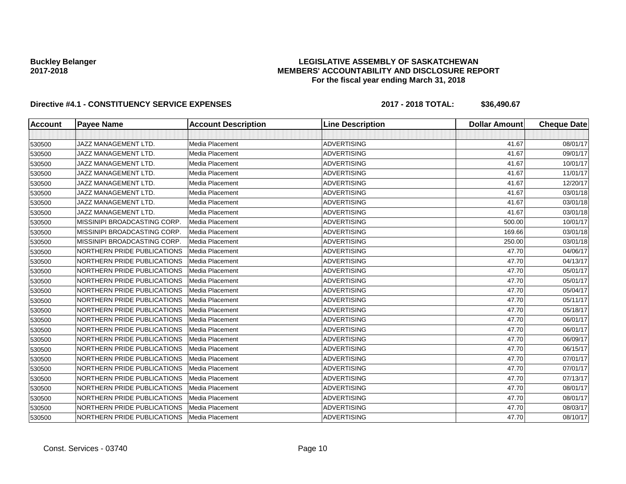### **LEGISLATIVE ASSEMBLY OF SASKATCHEWAN MEMBERS' ACCOUNTABILITY AND DISCLOSURE REPORT For the fiscal year ending March 31, 2018**

| <b>Account</b> | <b>Payee Name</b>            | <b>Account Description</b> | <b>Line Description</b> | <b>Dollar Amount</b> | <b>Cheque Date</b> |
|----------------|------------------------------|----------------------------|-------------------------|----------------------|--------------------|
|                |                              |                            |                         |                      |                    |
| 530500         | <b>JAZZ MANAGEMENT LTD.</b>  | Media Placement            | <b>ADVERTISING</b>      | 41.67                | 08/01/17           |
| 530500         | <b>JAZZ MANAGEMENT LTD.</b>  | Media Placement            | <b>ADVERTISING</b>      | 41.67                | 09/01/17           |
| 530500         | JAZZ MANAGEMENT LTD.         | <b>Media Placement</b>     | <b>ADVERTISING</b>      | 41.67                | 10/01/17           |
| 530500         | JAZZ MANAGEMENT LTD.         | Media Placement            | <b>ADVERTISING</b>      | 41.67                | 11/01/17           |
| 530500         | <b>JAZZ MANAGEMENT LTD.</b>  | <b>Media Placement</b>     | <b>ADVERTISING</b>      | 41.67                | 12/20/17           |
| 530500         | JAZZ MANAGEMENT LTD.         | Media Placement            | <b>ADVERTISING</b>      | 41.67                | 03/01/18           |
| 530500         | <b>JAZZ MANAGEMENT LTD.</b>  | Media Placement            | <b>ADVERTISING</b>      | 41.67                | 03/01/18           |
| 530500         | JAZZ MANAGEMENT LTD.         | Media Placement            | <b>ADVERTISING</b>      | 41.67                | 03/01/18           |
| 530500         | MISSINIPI BROADCASTING CORP. | <b>Media Placement</b>     | <b>ADVERTISING</b>      | 500.00               | 10/01/17           |
| 530500         | MISSINIPI BROADCASTING CORP. | <b>Media Placement</b>     | <b>ADVERTISING</b>      | 169.66               | 03/01/18           |
| 530500         | MISSINIPI BROADCASTING CORP. | Media Placement            | <b>ADVERTISING</b>      | 250.00               | 03/01/18           |
| 530500         | NORTHERN PRIDE PUBLICATIONS  | Media Placement            | <b>ADVERTISING</b>      | 47.70                | 04/06/17           |
| 530500         | NORTHERN PRIDE PUBLICATIONS  | Media Placement            | <b>ADVERTISING</b>      | 47.70                | 04/13/17           |
| 530500         | NORTHERN PRIDE PUBLICATIONS  | Media Placement            | <b>ADVERTISING</b>      | 47.70                | 05/01/17           |
| 530500         | NORTHERN PRIDE PUBLICATIONS  | Media Placement            | <b>ADVERTISING</b>      | 47.70                | 05/01/17           |
| 530500         | NORTHERN PRIDE PUBLICATIONS  | Media Placement            | <b>ADVERTISING</b>      | 47.70                | 05/04/17           |
| 530500         | NORTHERN PRIDE PUBLICATIONS  | Media Placement            | <b>ADVERTISING</b>      | 47.70                | 05/11/17           |
| 530500         | NORTHERN PRIDE PUBLICATIONS  | <b>Media Placement</b>     | <b>ADVERTISING</b>      | 47.70                | 05/18/17           |
| 530500         | NORTHERN PRIDE PUBLICATIONS  | Media Placement            | <b>ADVERTISING</b>      | 47.70                | 06/01/17           |
| 530500         | NORTHERN PRIDE PUBLICATIONS  | <b>Media Placement</b>     | <b>ADVERTISING</b>      | 47.70                | 06/01/17           |
| 530500         | NORTHERN PRIDE PUBLICATIONS  | Media Placement            | <b>ADVERTISING</b>      | 47.70                | 06/09/17           |
| 530500         | NORTHERN PRIDE PUBLICATIONS  | Media Placement            | <b>ADVERTISING</b>      | 47.70                | 06/15/17           |
| 530500         | NORTHERN PRIDE PUBLICATIONS  | Media Placement            | <b>ADVERTISING</b>      | 47.70                | 07/01/17           |
| 530500         | NORTHERN PRIDE PUBLICATIONS  | Media Placement            | <b>ADVERTISING</b>      | 47.70                | 07/01/17           |
| 530500         | NORTHERN PRIDE PUBLICATIONS  | <b>Media Placement</b>     | <b>ADVERTISING</b>      | 47.70                | 07/13/17           |
| 530500         | NORTHERN PRIDE PUBLICATIONS  | <b>Media Placement</b>     | <b>ADVERTISING</b>      | 47.70                | 08/01/17           |
| 530500         | NORTHERN PRIDE PUBLICATIONS  | Media Placement            | <b>ADVERTISING</b>      | 47.70                | 08/01/17           |
| 530500         | NORTHERN PRIDE PUBLICATIONS  | Media Placement            | <b>ADVERTISING</b>      | 47.70                | 08/03/17           |
| 530500         | NORTHERN PRIDE PUBLICATIONS  | Media Placement            | <b>ADVERTISING</b>      | 47.70                | 08/10/17           |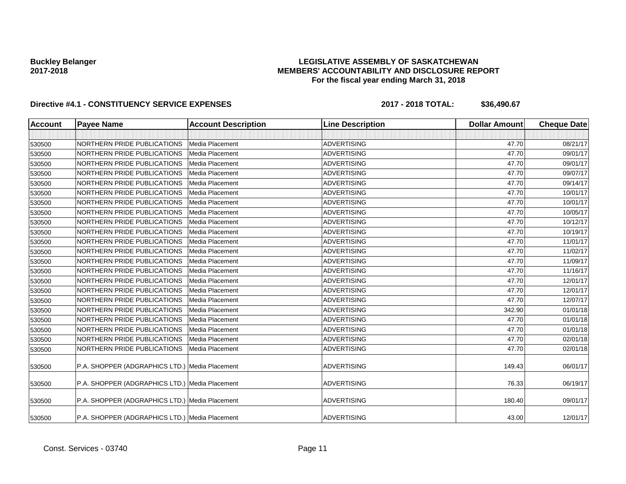### **LEGISLATIVE ASSEMBLY OF SASKATCHEWAN MEMBERS' ACCOUNTABILITY AND DISCLOSURE REPORT For the fiscal year ending March 31, 2018**

| <b>Account</b> | <b>Payee Name</b>                              | <b>Account Description</b> | <b>Line Description</b> | <b>Dollar Amount</b> | <b>Cheque Date</b> |
|----------------|------------------------------------------------|----------------------------|-------------------------|----------------------|--------------------|
|                |                                                |                            |                         |                      |                    |
| 530500         | NORTHERN PRIDE PUBLICATIONS                    | Media Placement            | <b>ADVERTISING</b>      | 47.70                | 08/21/17           |
| 530500         | NORTHERN PRIDE PUBLICATIONS                    | Media Placement            | <b>ADVERTISING</b>      | 47.70                | 09/01/17           |
| 530500         | NORTHERN PRIDE PUBLICATIONS                    | Media Placement            | <b>ADVERTISING</b>      | 47.70                | 09/01/17           |
| 530500         | NORTHERN PRIDE PUBLICATIONS                    | Media Placement            | <b>ADVERTISING</b>      | 47.70                | 09/07/17           |
| 530500         | NORTHERN PRIDE PUBLICATIONS                    | Media Placement            | <b>ADVERTISING</b>      | 47.70                | 09/14/17           |
| 530500         | NORTHERN PRIDE PUBLICATIONS                    | Media Placement            | <b>ADVERTISING</b>      | 47.70                | 10/01/17           |
| 530500         | NORTHERN PRIDE PUBLICATIONS                    | Media Placement            | <b>ADVERTISING</b>      | 47.70                | 10/01/17           |
| 530500         | NORTHERN PRIDE PUBLICATIONS                    | Media Placement            | <b>ADVERTISING</b>      | 47.70                | 10/05/17           |
| 530500         | NORTHERN PRIDE PUBLICATIONS                    | Media Placement            | <b>ADVERTISING</b>      | 47.70                | 10/12/17           |
| 530500         | NORTHERN PRIDE PUBLICATIONS                    | Media Placement            | <b>ADVERTISING</b>      | 47.70                | 10/19/17           |
| 530500         | NORTHERN PRIDE PUBLICATIONS                    | Media Placement            | <b>ADVERTISING</b>      | 47.70                | 11/01/17           |
| 530500         | NORTHERN PRIDE PUBLICATIONS                    | Media Placement            | <b>ADVERTISING</b>      | 47.70                | 11/02/17           |
| 530500         | NORTHERN PRIDE PUBLICATIONS                    | Media Placement            | <b>ADVERTISING</b>      | 47.70                | 11/09/17           |
| 530500         | NORTHERN PRIDE PUBLICATIONS                    | Media Placement            | <b>ADVERTISING</b>      | 47.70                | 11/16/17           |
| 530500         | NORTHERN PRIDE PUBLICATIONS                    | Media Placement            | <b>ADVERTISING</b>      | 47.70                | 12/01/17           |
| 530500         | NORTHERN PRIDE PUBLICATIONS                    | Media Placement            | <b>ADVERTISING</b>      | 47.70                | 12/01/17           |
| 530500         | NORTHERN PRIDE PUBLICATIONS                    | Media Placement            | <b>ADVERTISING</b>      | 47.70                | 12/07/17           |
| 530500         | NORTHERN PRIDE PUBLICATIONS                    | Media Placement            | <b>ADVERTISING</b>      | 342.90               | 01/01/18           |
| 530500         | NORTHERN PRIDE PUBLICATIONS                    | Media Placement            | <b>ADVERTISING</b>      | 47.70                | 01/01/18           |
| 530500         | NORTHERN PRIDE PUBLICATIONS                    | Media Placement            | <b>ADVERTISING</b>      | 47.70                | 01/01/18           |
| 530500         | NORTHERN PRIDE PUBLICATIONS                    | Media Placement            | <b>ADVERTISING</b>      | 47.70                | 02/01/18           |
| 530500         | NORTHERN PRIDE PUBLICATIONS                    | Media Placement            | <b>ADVERTISING</b>      | 47.70                | 02/01/18           |
| 530500         | P.A. SHOPPER (ADGRAPHICS LTD.) Media Placement |                            | <b>ADVERTISING</b>      | 149.43               | 06/01/17           |
| 530500         | P.A. SHOPPER (ADGRAPHICS LTD.) Media Placement |                            | <b>ADVERTISING</b>      | 76.33                | 06/19/17           |
| 530500         | P.A. SHOPPER (ADGRAPHICS LTD.) Media Placement |                            | <b>ADVERTISING</b>      | 180.40               | 09/01/17           |
| 530500         | P.A. SHOPPER (ADGRAPHICS LTD.) Media Placement |                            | <b>ADVERTISING</b>      | 43.00                | 12/01/17           |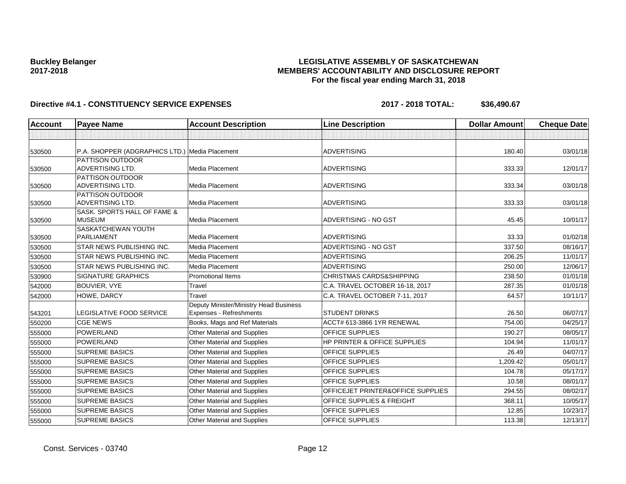### **LEGISLATIVE ASSEMBLY OF SASKATCHEWAN MEMBERS' ACCOUNTABILITY AND DISCLOSURE REPORT For the fiscal year ending March 31, 2018**

| <b>Account</b> | <b>Payee Name</b>                              | <b>Account Description</b>             | <b>Line Description</b>             | <b>Dollar Amount</b> | <b>Cheque Date</b> |
|----------------|------------------------------------------------|----------------------------------------|-------------------------------------|----------------------|--------------------|
|                |                                                |                                        |                                     |                      |                    |
| 530500         | P.A. SHOPPER (ADGRAPHICS LTD.) Media Placement |                                        | <b>ADVERTISING</b>                  | 180.40               | 03/01/18           |
|                | PATTISON OUTDOOR                               |                                        |                                     |                      |                    |
| 530500         | <b>ADVERTISING LTD.</b>                        | Media Placement                        | <b>ADVERTISING</b>                  | 333.33               | 12/01/17           |
|                | <b>PATTISON OUTDOOR</b>                        |                                        |                                     |                      |                    |
| 530500         | <b>ADVERTISING LTD.</b>                        | <b>Media Placement</b>                 | <b>ADVERTISING</b>                  | 333.34               | 03/01/18           |
| 530500         | <b>PATTISON OUTDOOR</b><br>ADVERTISING LTD.    | Media Placement                        | <b>ADVERTISING</b>                  | 333.33               | 03/01/18           |
|                | SASK. SPORTS HALL OF FAME &                    |                                        |                                     |                      |                    |
| 530500         | <b>MUSEUM</b>                                  | <b>Media Placement</b>                 | ADVERTISING - NO GST                | 45.45                | 10/01/17           |
|                | SASKATCHEWAN YOUTH                             |                                        |                                     |                      |                    |
| 530500         | <b>PARLIAMENT</b>                              | <b>Media Placement</b>                 | <b>ADVERTISING</b>                  | 33.33                | 01/02/18           |
| 530500         | STAR NEWS PUBLISHING INC.                      | Media Placement                        | ADVERTISING - NO GST                | 337.50               | 08/16/17           |
| 530500         | STAR NEWS PUBLISHING INC.                      | <b>Media Placement</b>                 | <b>ADVERTISING</b>                  | 206.25               | 11/01/17           |
| 530500         | <b>STAR NEWS PUBLISHING INC.</b>               | Media Placement                        | <b>ADVERTISING</b>                  | 250.00               | 12/06/17           |
| 530900         | <b>SIGNATURE GRAPHICS</b>                      | <b>Promotional Items</b>               | <b>CHRISTMAS CARDS&amp;SHIPPING</b> | 238.50               | 01/01/18           |
| 542000         | BOUVIER, VYE                                   | Travel                                 | C.A. TRAVEL OCTOBER 16-18, 2017     | 287.35               | 01/01/18           |
| 542000         | HOWE, DARCY                                    | Travel                                 | C.A. TRAVEL OCTOBER 7-11, 2017      | 64.57                | 10/11/17           |
|                |                                                | Deputy Minister/Ministry Head Business |                                     |                      |                    |
| 543201         | LEGISLATIVE FOOD SERVICE                       | Expenses - Refreshments                | <b>STUDENT DRINKS</b>               | 26.50                | 06/07/17           |
| 550200         | <b>CGE NEWS</b>                                | Books, Mags and Ref Materials          | ACCT# 613-3866 1YR RENEWAL          | 754.00               | 04/25/17           |
| 555000         | <b>POWERLAND</b>                               | Other Material and Supplies            | <b>OFFICE SUPPLIES</b>              | 190.27               | 08/05/17           |
| 555000         | POWERLAND                                      | Other Material and Supplies            | HP PRINTER & OFFICE SUPPLIES        | 104.94               | 11/01/17           |
| 555000         | <b>SUPREME BASICS</b>                          | Other Material and Supplies            | <b>OFFICE SUPPLIES</b>              | 26.49                | 04/07/17           |
| 555000         | <b>SUPREME BASICS</b>                          | Other Material and Supplies            | <b>OFFICE SUPPLIES</b>              | 1,209.42             | 05/01/17           |
| 555000         | <b>SUPREME BASICS</b>                          | Other Material and Supplies            | <b>OFFICE SUPPLIES</b>              | 104.78               | 05/17/17           |
| 555000         | <b>SUPREME BASICS</b>                          | Other Material and Supplies            | <b>OFFICE SUPPLIES</b>              | 10.58                | 08/01/17           |
| 555000         | <b>SUPREME BASICS</b>                          | Other Material and Supplies            | OFFICEJET PRINTER&OFFICE SUPPLIES   | 294.55               | 08/02/17           |
| 555000         | <b>SUPREME BASICS</b>                          | <b>Other Material and Supplies</b>     | OFFICE SUPPLIES & FREIGHT           | 368.11               | 10/05/17           |
| 555000         | <b>SUPREME BASICS</b>                          | Other Material and Supplies            | <b>OFFICE SUPPLIES</b>              | 12.85                | 10/23/17           |
| 555000         | <b>SUPREME BASICS</b>                          | Other Material and Supplies            | <b>OFFICE SUPPLIES</b>              | 113.38               | 12/13/17           |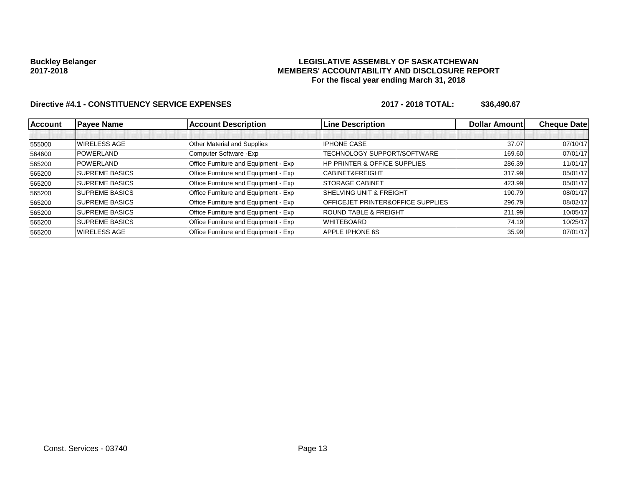### **LEGISLATIVE ASSEMBLY OF SASKATCHEWAN MEMBERS' ACCOUNTABILITY AND DISCLOSURE REPORT For the fiscal year ending March 31, 2018**

| <b>Account</b> | <b>Payee Name</b>      | <b>Account Description</b>                  | <b>Line Description</b>                      | <b>Dollar Amountl</b> | <b>Cheque Datel</b> |
|----------------|------------------------|---------------------------------------------|----------------------------------------------|-----------------------|---------------------|
|                |                        |                                             |                                              |                       |                     |
| 555000         | WIRELESS AGE           | Other Material and Supplies                 | <b>IPHONE CASE</b>                           | 37.07                 | 07/10/17            |
| 564600         | <b>POWERLAND</b>       | Computer Software - Exp                     | TECHNOLOGY SUPPORT/SOFTWARE                  | 169.60                | 07/01/17            |
| 565200         | POWERLAND              | Office Furniture and Equipment - Exp        | <b>HP PRINTER &amp; OFFICE SUPPLIES</b>      | 286.39                | 11/01/17            |
| 565200         | <b>SUPREME BASICS</b>  | <b>Office Furniture and Equipment - Exp</b> | <b>CABINET&amp;FREIGHT</b>                   | 317.99                | 05/01/17            |
| 565200         | <b>ISUPREME BASICS</b> | Office Furniture and Equipment - Exp        | <b>STORAGE CABINET</b>                       | 423.99                | 05/01/17            |
| 565200         | <b>ISUPREME BASICS</b> | Office Furniture and Equipment - Exp        | <b>SHELVING UNIT &amp; FREIGHT</b>           | 190.79                | 08/01/17            |
| 565200         | <b>SUPREME BASICS</b>  | Office Furniture and Equipment - Exp        | <b>OFFICEJET PRINTER&amp;OFFICE SUPPLIES</b> | 296.79                | 08/02/17            |
| 565200         | <b>SUPREME BASICS</b>  | Office Furniture and Equipment - Exp        | <b>ROUND TABLE &amp; FREIGHT</b>             | 211.99                | 10/05/17            |
| 565200         | <b>SUPREME BASICS</b>  | Office Furniture and Equipment - Exp        | <b>WHITEBOARD</b>                            | 74.19                 | 10/25/17            |
| 565200         | WIRELESS AGE           | Office Furniture and Equipment - Exp        | APPLE IPHONE 6S                              | 35.99                 | 07/01/17            |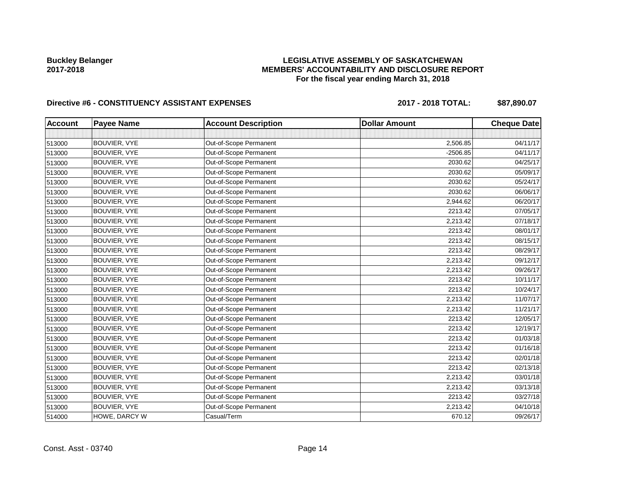### **LEGISLATIVE ASSEMBLY OF SASKATCHEWAN MEMBERS' ACCOUNTABILITY AND DISCLOSURE REPORT For the fiscal year ending March 31, 2018**

# Directive #6 - CONSTITUENCY ASSISTANT EXPENSES 2017 - 2018 TOTAL: \$87,890.07

| <b>Account</b> | <b>Payee Name</b> | <b>Account Description</b> | <b>Dollar Amount</b> | <b>Cheque Date</b> |
|----------------|-------------------|----------------------------|----------------------|--------------------|
|                |                   |                            |                      |                    |
| 513000         | BOUVIER, VYE      | Out-of-Scope Permanent     | 2,506.85             | 04/11/17           |
| 513000         | BOUVIER, VYE      | Out-of-Scope Permanent     | $-2506.85$           | 04/11/17           |
| 513000         | BOUVIER, VYE      | Out-of-Scope Permanent     | 2030.62              | 04/25/17           |
| 513000         | BOUVIER, VYE      | Out-of-Scope Permanent     | 2030.62              | 05/09/17           |
| 513000         | BOUVIER, VYE      | Out-of-Scope Permanent     | 2030.62              | 05/24/17           |
| 513000         | BOUVIER, VYE      | Out-of-Scope Permanent     | 2030.62              | 06/06/17           |
| 513000         | BOUVIER, VYE      | Out-of-Scope Permanent     | 2,944.62             | 06/20/17           |
| 513000         | BOUVIER, VYE      | Out-of-Scope Permanent     | 2213.42              | 07/05/17           |
| 513000         | BOUVIER, VYE      | Out-of-Scope Permanent     | 2,213.42             | 07/18/17           |
| 513000         | BOUVIER, VYE      | Out-of-Scope Permanent     | 2213.42              | 08/01/17           |
| 513000         | BOUVIER, VYE      | Out-of-Scope Permanent     | 2213.42              | 08/15/17           |
| 513000         | BOUVIER, VYE      | Out-of-Scope Permanent     | 2213.42              | 08/29/17           |
| 513000         | BOUVIER, VYE      | Out-of-Scope Permanent     | 2,213.42             | 09/12/17           |
| 513000         | BOUVIER, VYE      | Out-of-Scope Permanent     | 2,213.42             | 09/26/17           |
| 513000         | BOUVIER, VYE      | Out-of-Scope Permanent     | 2213.42              | 10/11/17           |
| 513000         | BOUVIER, VYE      | Out-of-Scope Permanent     | 2213.42              | 10/24/17           |
| 513000         | BOUVIER, VYE      | Out-of-Scope Permanent     | 2,213.42             | 11/07/17           |
| 513000         | BOUVIER, VYE      | Out-of-Scope Permanent     | 2,213.42             | 11/21/17           |
| 513000         | BOUVIER, VYE      | Out-of-Scope Permanent     | 2213.42              | 12/05/17           |
| 513000         | BOUVIER, VYE      | Out-of-Scope Permanent     | 2213.42              | 12/19/17           |
| 513000         | BOUVIER, VYE      | Out-of-Scope Permanent     | 2213.42              | 01/03/18           |
| 513000         | BOUVIER, VYE      | Out-of-Scope Permanent     | 2213.42              | 01/16/18           |
| 513000         | BOUVIER, VYE      | Out-of-Scope Permanent     | 2213.42              | 02/01/18           |
| 513000         | BOUVIER, VYE      | Out-of-Scope Permanent     | 2213.42              | 02/13/18           |
| 513000         | BOUVIER, VYE      | Out-of-Scope Permanent     | 2,213.42             | 03/01/18           |
| 513000         | BOUVIER, VYE      | Out-of-Scope Permanent     | 2,213.42             | 03/13/18           |
| 513000         | BOUVIER, VYE      | Out-of-Scope Permanent     | 2213.42              | 03/27/18           |
| 513000         | BOUVIER, VYE      | Out-of-Scope Permanent     | 2,213.42             | 04/10/18           |
| 514000         | HOWE, DARCY W     | Casual/Term                | 670.12               | 09/26/17           |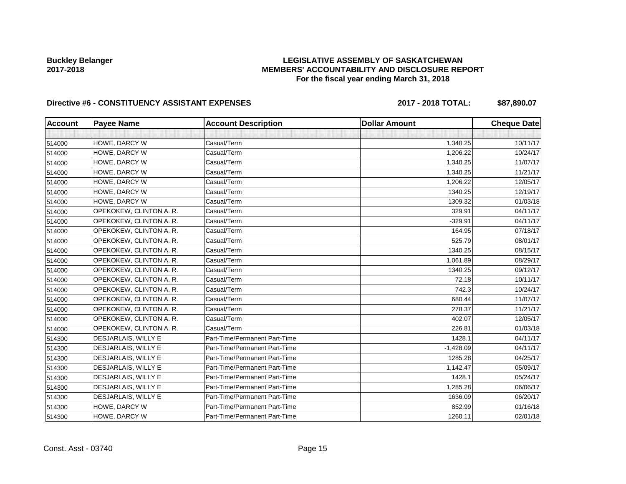### **LEGISLATIVE ASSEMBLY OF SASKATCHEWAN MEMBERS' ACCOUNTABILITY AND DISCLOSURE REPORT For the fiscal year ending March 31, 2018**

# Directive #6 - CONSTITUENCY ASSISTANT EXPENSES 2017 - 2018 TOTAL: \$87,890.07

| <b>Account</b> | <b>Payee Name</b>       | <b>Account Description</b>    | <b>Dollar Amount</b> | <b>Cheque Date</b> |
|----------------|-------------------------|-------------------------------|----------------------|--------------------|
|                |                         |                               |                      |                    |
| 514000         | HOWE, DARCY W           | Casual/Term                   | 1,340.25             | 10/11/17           |
| 514000         | HOWE, DARCY W           | Casual/Term                   | 1,206.22             | 10/24/17           |
| 514000         | HOWE, DARCY W           | Casual/Term                   | 1,340.25             | 11/07/17           |
| 514000         | HOWE, DARCY W           | Casual/Term                   | 1,340.25             | 11/21/17           |
| 514000         | HOWE, DARCY W           | Casual/Term                   | 1,206.22             | 12/05/17           |
| 514000         | HOWE, DARCY W           | Casual/Term                   | 1340.25              | 12/19/17           |
| 514000         | HOWE, DARCY W           | Casual/Term                   | 1309.32              | 01/03/18           |
| 514000         | OPEKOKEW, CLINTON A. R. | Casual/Term                   | 329.91               | 04/11/17           |
| 514000         | OPEKOKEW, CLINTON A. R. | Casual/Term                   | $-329.91$            | 04/11/17           |
| 514000         | OPEKOKEW, CLINTON A. R. | Casual/Term                   | 164.95               | 07/18/17           |
| 514000         | OPEKOKEW, CLINTON A. R. | Casual/Term                   | 525.79               | 08/01/17           |
| 514000         | OPEKOKEW, CLINTON A. R. | Casual/Term                   | 1340.25              | 08/15/17           |
| 514000         | OPEKOKEW, CLINTON A. R. | Casual/Term                   | 1,061.89             | 08/29/17           |
| 514000         | OPEKOKEW, CLINTON A. R. | Casual/Term                   | 1340.25              | 09/12/17           |
| 514000         | OPEKOKEW, CLINTON A. R. | Casual/Term                   | 72.18                | 10/11/17           |
| 514000         | OPEKOKEW, CLINTON A. R. | Casual/Term                   | 742.3                | 10/24/17           |
| 514000         | OPEKOKEW, CLINTON A. R. | Casual/Term                   | 680.44               | 11/07/17           |
| 514000         | OPEKOKEW, CLINTON A. R. | Casual/Term                   | 278.37               | 11/21/17           |
| 514000         | OPEKOKEW, CLINTON A. R. | Casual/Term                   | 402.07               | 12/05/17           |
| 514000         | OPEKOKEW, CLINTON A. R. | Casual/Term                   | 226.81               | 01/03/18           |
| 514300         | DESJARLAIS, WILLY E     | Part-Time/Permanent Part-Time | 1428.1               | 04/11/17           |
| 514300         | DESJARLAIS, WILLY E     | Part-Time/Permanent Part-Time | $-1,428.09$          | 04/11/17           |
| 514300         | DESJARLAIS, WILLY E     | Part-Time/Permanent Part-Time | 1285.28              | 04/25/17           |
| 514300         | DESJARLAIS, WILLY E     | Part-Time/Permanent Part-Time | 1,142.47             | 05/09/17           |
| 514300         | DESJARLAIS, WILLY E     | Part-Time/Permanent Part-Time | 1428.1               | 05/24/17           |
| 514300         | DESJARLAIS, WILLY E     | Part-Time/Permanent Part-Time | 1,285.28             | 06/06/17           |
| 514300         | DESJARLAIS, WILLY E     | Part-Time/Permanent Part-Time | 1636.09              | 06/20/17           |
| 514300         | HOWE, DARCY W           | Part-Time/Permanent Part-Time | 852.99               | 01/16/18           |
| 514300         | HOWE, DARCY W           | Part-Time/Permanent Part-Time | 1260.11              | 02/01/18           |